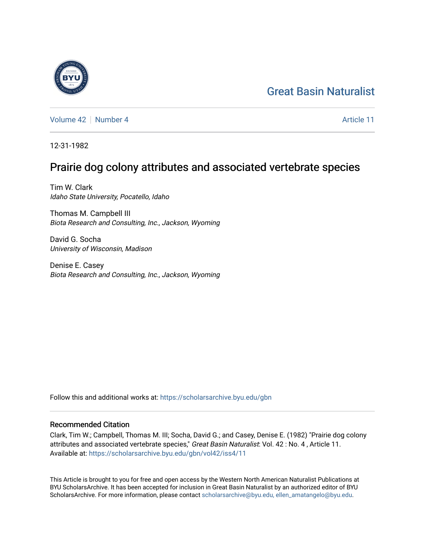# [Great Basin Naturalist](https://scholarsarchive.byu.edu/gbn)

[Volume 42](https://scholarsarchive.byu.edu/gbn/vol42) [Number 4](https://scholarsarchive.byu.edu/gbn/vol42/iss4) Article 11

12-31-1982

## Prairie dog colony attributes and associated vertebrate species

Tim W. Clark Idaho State University, Pocatello, Idaho

Thomas M. Campbell III Biota Research and Consulting, Inc., Jackson, Wyoming

David G. Socha University of Wisconsin, Madison

Denise E. Casey Biota Research and Consulting, Inc., Jackson, Wyoming

Follow this and additional works at: [https://scholarsarchive.byu.edu/gbn](https://scholarsarchive.byu.edu/gbn?utm_source=scholarsarchive.byu.edu%2Fgbn%2Fvol42%2Fiss4%2F11&utm_medium=PDF&utm_campaign=PDFCoverPages) 

### Recommended Citation

Clark, Tim W.; Campbell, Thomas M. III; Socha, David G.; and Casey, Denise E. (1982) "Prairie dog colony attributes and associated vertebrate species," Great Basin Naturalist: Vol. 42 : No. 4, Article 11. Available at: [https://scholarsarchive.byu.edu/gbn/vol42/iss4/11](https://scholarsarchive.byu.edu/gbn/vol42/iss4/11?utm_source=scholarsarchive.byu.edu%2Fgbn%2Fvol42%2Fiss4%2F11&utm_medium=PDF&utm_campaign=PDFCoverPages) 

This Article is brought to you for free and open access by the Western North American Naturalist Publications at BYU ScholarsArchive. It has been accepted for inclusion in Great Basin Naturalist by an authorized editor of BYU ScholarsArchive. For more information, please contact [scholarsarchive@byu.edu, ellen\\_amatangelo@byu.edu.](mailto:scholarsarchive@byu.edu,%20ellen_amatangelo@byu.edu)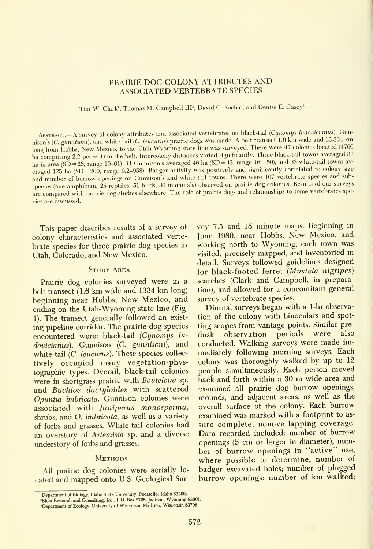### PRAIRIE DOG COLONY ATTRIBUTES AND ASSOCIATED VERTEBRATE SPECIES

Tim W. Clark', Thomas M. Campbell IIP, David G. Socha', and Denise E. Casey'

ABSTRACT.- A survey of colony attributes and associated vertebrates on black-tail (Cynomys ludovicianus), Gunnison's (C. gunnisoni), and white-tail (C. leucurus) prairie dogs was made. A belt transect 1.6 km wide and 13,334 km long from Hobbs, New Mexico, to the Utah-Wyoming state line was surveyed. There were 47 colonies located (4760 ha comprising 2.2 percent) in the belt. Intercolony distances varied significantly. Three black-tail towns averaged 33 ha in area (SD =  $26$ , range 10-61), 11 Gunnison's averaged 46 ha (SD = 43, range 16-150), and 33 white-tail towns averaged 125 ha (SD=200, range 0.2-958). Badger activity was positively and significantly correlated to colony size and number of burrow openings on Gunnison's and white-tail towns. There were <sup>107</sup> vertebrate species and subspecies (one amphibian, <sup>25</sup> reptiles, <sup>51</sup> birds, <sup>30</sup> mammals) observed on prairie dog colonies. Results of our surveys are compared with prairie dog studies elsewhere. The role of prairie dogs and relationships to some vertebrates species are discussed.

This paper describes results of a survey of colony characteristics and associated verte brate species for three prairie dog species in Utah, Colorado, and New Mexico.

#### STUDY AREA

Prairie dog colonies surveyed were in a belt transect (1.6 km wide and <sup>1334</sup> km long) beginning near Hobbs, New Mexico, and ending on the Utah-Wyoming state line (Fig. 1). The transect generally followed an exist ing pipeline corridor. The prairie dog species encountered were: black-tail (Cynomys lu- dusk dovicianus), Gunnison (C. gunnisoni), and white-tail (*C. leucurus*). These species collectively occupied many vegetation-physiographic types. Overall, black-tail colonies were in shortgrass prairie with Bouteloua sp. and Buchloe dactyloides with scattered Opuntia imhricata. Gunnison colonies were associated with Juniperus monosperma, shrubs, and O. imbricata, as well as a variety of forbs and grasses. White-tail colonies had an overstory of Artemisia sp. and a diverse understory of forbs and grasses.

#### **METHODS**

All prairie dog colonies were aerially lo cated and mapped onto U.S. Geological Sur-

"Department of Zoology, University of Wisconsin, Madison, Wisconsin 53706.

vey 7.5 and 15 minute maps. Beginning in June 1980, near Hobbs, New Mexico, and working north to Wyoming, each town was visited, precisely mapped, and inventoried in detail. Surveys followed guidelines designed for black-footed ferret {Mustela nigripes) searches (Clark and Campbell, in preparation), and allowed for a concomitant general survey of vertebrate species.

Diurnal surveys began with a 1-hr observation of the colony with binoculars and spotting scopes from vantage points. Similar pre observation periods were also conducted. Walking surveys were made immediately following morning surveys. Each colony was thoroughly walked by up to 12 people simultaneously. Each person moved back and forth within <sup>a</sup> <sup>30</sup> m wide area and examined all prairie dog burrow openings, mounds, and adjacent areas, as well as the overall surface of the colony. Each burrow examined was marked with a footprint to as sure complete, nonoverlapping coverage. Data recorded included: number of burrow openings (5 cm or larger in diameter); number of burrow openings in "active" use, where possible to determine; number of badger excavated holes; number of plugged burrow openings; number of km walked;

<sup>&#</sup>x27;Department of Biology, Idaho State University, Pocatello, Idaho 83209.

<sup>&#</sup>x27;Biota Research and Consulting, Inc., P.O. Box 2705, Jackson, Wyoming 83001.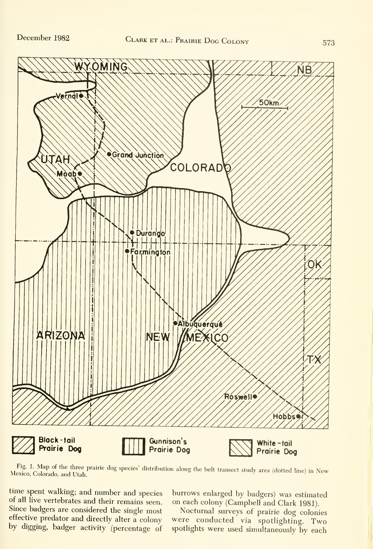

Fig. 1- Map of the three prairie dog species' distribution along the belt transect study area (dotted line) in New Mexico, Colorado, and Utah.

time spent walking; and number and species of all live vertebrates and their remains seen. Since badgers are considered the single most Nocturnal surveys of prairie dog colonies effective predator and directly alter a colony by digging, badger activity (percentage of

burrows enlarged by badgers) was estimated on each colony (Campbell and Clark 1981).

were conducted via spotlighting. Two spotlights were used simultaneously by each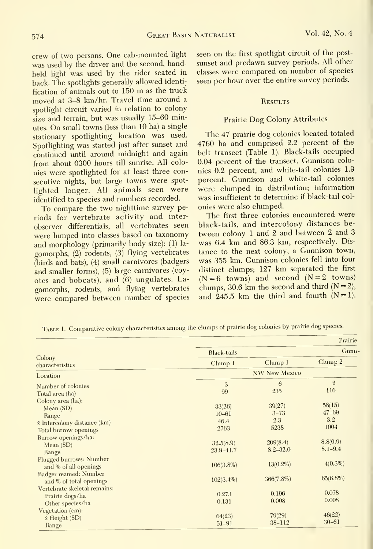crew of two persons. One cab-mounted light was used by the driver and the second, handheld light was used by the rider seated in back. The spotlights generally allowed identi^ fication of animals out to <sup>150</sup> m as the truck moved at 3-8 km/hr. Travel time around <sup>a</sup> spotlight circuit varied in relation to colony size and terrain, but was usually 15-60 minutes. On small towns (less than 10 ha) <sup>a</sup> single stationary spotlighting location was used. Spotlighting was started just after sunset and continued until around midnight and again from about 0300 hours till sunrise. All colonies were spotlighted for at least three consecutive nights, but large towns were spotlighted longer. All animals seen were identified to species and numbers recorded.

To compare the two nighttime survey periods for vertebrate activity and inter observer differentials, all vertebrates seen were lumped into classes based on taxonomy and morphology (primarily body size): (1) la gomorphs, (2) rodents, (3) flying vertebrates (birds and bats), (4) small carnivores (badgers and smaller forms), (5) large carnivores (coy otes and bobcats), and (6) ungulates. La gomorphs, rodents, and flying vertebrates were compared between number of species seen on the first spotlight circuit of the post sunset and predawn survey periods. All other classes were compared on number of species seen per hour over the entire survey periods.

#### **RESULTS**

#### Prairie Dog Colony Attributes

The 47 prairie dog colonies located totaled 4760 ha and comprised 2.2 percent of the belt transect (Table 1). Black-tails occupied 0.04 percent of the transect, Gunnison colonies 0.2 percent, and white-tail colonies 1.9 percent. Gunnison and white-tail colonies were clumped in distribution; information was insufficient to determine if black-tail col onies were also clumped.

The first three colonies encountered were black-tails, and intercolony distances between colony <sup>1</sup> and <sup>2</sup> and between 2 and 3 was 6.4 km and 86.3 km, respectively. Distance to the next colony, <sup>a</sup> Gunnison town, was 355 km. Gunnison colonies fell into four distinct clumps; 127 km separated the first  $(N=6 \text{ towns})$  and second  $(N=2 \text{ towns})$ clumps, 30.6 km the second and third  $(N=2)$ , and  $245.5$  km the third and fourth  $(N=1)$ .

|                                                  |                    |                      | Prairie        |  |
|--------------------------------------------------|--------------------|----------------------|----------------|--|
|                                                  | <b>Black-tails</b> |                      | Gunn-          |  |
| Colony<br>characteristics                        | Clump1             | Clump1               | Clump 2        |  |
| Location                                         |                    | <b>NW New Mexico</b> |                |  |
| Number of colonies                               | 3                  | 6                    | $\overline{2}$ |  |
| Total area (ha)                                  | 99                 | 235                  | 116            |  |
| Colony area (ha):                                |                    |                      |                |  |
| Mean $(SD)$                                      | 33(26)             | 39(27)               | 58(15)         |  |
| Range                                            | $10 - 61$          | $3 - 73$             | $47 - 69$      |  |
| $\bar{x}$ Intercolony distance (km)              | 46.4               | 2.3                  | 3.2            |  |
| Total burrow openings                            | 2763               | 5238                 | 1004           |  |
| Burrow openings/ha:                              |                    |                      |                |  |
| Mean $(SD)$                                      | 32.5(8.9)          | 209(8.4)             | 8.8(0.9)       |  |
| Range                                            | 23.9-41.7          | $8.2 - 32.0$         | $8.1 - 9.4$    |  |
| Plugged burrows: Number<br>and % of all openings | $106(3.8\%)$       | $13(0.2\%)$          | $4(0.3\%)$     |  |
| Badger reamed: Number<br>and % of total openings | $102(3.4\%)$       | $366(7.8\%)$         | $65(6.8\%)$    |  |
| Vertebrate skeletal remains:                     | 0.273              | 0.196                | 0.078          |  |
| Prairie dogs/ha                                  | 0.131              | 0.008                | 0.008          |  |
| Other species/ha                                 |                    |                      |                |  |
| Vegetation (cm):                                 | 64(23)             | 79(29)               | 46(22)         |  |
| $\bar{x}$ Height (SD)                            | $51 - 91$          | $38 - 112$           | $30 - 61$      |  |
| Range                                            |                    |                      |                |  |

TABLE 1. Comparative colony characteristics among the clumps of prairie dog colonies by prairie dog species.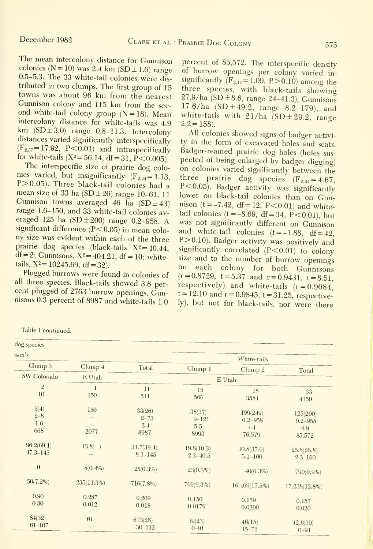The mean intercolony distance for Gunnison colonies ( $N = 10$ ) was 2.4 km ( $SD \pm 1.6$ ) range 0.5-5.3. The 33 white-tail colonies were dis tributed in two clumps. The first group of 15 towns was about 96 km from the nearest Gunnison colony and 115 km from the second white-tail colony group  $(N=18)$ . Mean<br>intercolony distance for white-tails was 4.9 km  $(SD \pm 3.0)$  range 0.8-11.3. Intercolony distances varied significantly interspecifically  $(F_{2,37}=17.92, P<0.01)$  and intraspecifically for white-tails  $(X^2 = 56.14, df = 31, P < 0.005)$ .

The interspecific size of prairie dog colonies varied, but insignificantly  $(F_{2,44}=1.13, P>0.05)$ . Three black-tail colonies had a mean size of 33 ha (SD $\pm$ 26) range 10-61, 11 Gunnison towns averaged 46 ha  $(SD \pm 43)$ eraged <sup>125</sup> ha (SD±200) range 0.2-958. A significant difference  $(P<0.05)$  in mean colony size was evident within each of the three prairie dog species (black-tails  $X^2 = 40.44$ ,  $df = 2$ ; Gunnisons,  $X^2 = 404.21$ ,  $df = 10$ ; whitetails,  $X^2 = 10245.69$ , df = 32).

Plugged burrows were found in colonies of all three species. Black-tails showed 3.8 per cent plugged of 2763 burrow openings, Gunnisons 0.3 percent of 8987 and white-tails 1.0

Table 1 continued.

percent of 85,572. The interspecific density of burrow openings per colony varied in significantly  $(F_{2,44} = 1.09, P > 0.10)$  among the three species, with black-tails showing  $27.9/ha$  (SD  $\pm 8.6$ , range 24-41.3), Gunnisons 17.6/ha  $(SD \pm 49.2, \text{range } 8.2-179)$ , and white-tails with  $21/ha$  (SD  $\pm 29.2$ , range  $2.2=158$ ).

range 1.6-150, and 33 white-tail colonies  $av-$  tail colonies  $(t = -8.69, df = 34, P < 0.01)$ , but All colonies showed signs of badger activi ty in the form of excavated holes and scats. Badger-reamed prairie dog holes (holes sus pected of being enlarged by badger digging) on colonies varied significantly between the three prairie dog species  $(F_{2,44} = 4.67,$ P<0.05). Badger activity was significantly lower on black-tail colonies than on Gunnison  $(t = -7.42, df = 12, P < 0.01)$  and whitewas not significantly different on Gunnison and white-tail colonies  $(t = -1.88, df = 42,$ P>0.10). Badger activity was positively and significantly correlated  $(P<0.01)$  to colony size and to the number of burrow openings<br>on each colony for both Cunnisons each colony for both Gunnisons  $(r=0.8729, t=5.37 \text{ and } r=0.9431, t=8.51,$ respectively) and white-tails  $(r = 0.9084,$  $t = 12.10$  and  $r = 0.9845$ ,  $t = 31.25$ , respectively), but not for black-tails, nor were there

| dog species                   |                |                                   |                                    |                                          |                                          |
|-------------------------------|----------------|-----------------------------------|------------------------------------|------------------------------------------|------------------------------------------|
| ison's                        |                |                                   |                                    | White-tails                              |                                          |
| Clump 3                       | Clump 4        | Total                             | Clump1                             | Clump 2                                  | Total                                    |
| SW Colorado                   | E Utah         |                                   |                                    | E Utah                                   |                                          |
| $\overline{2}$<br>10          | 1<br>150       | 11<br>511                         | 15<br>566                          | 18<br>3584                               | 33<br>4150                               |
| 5(4)<br>$2 - 8$<br>1.6<br>668 | 150<br>2077    | 33(26)<br>$2 - 73$<br>2.4<br>8987 | 38(37)<br>$9 - 121$<br>5.5<br>8993 | 199(249)<br>$0.2 - 958$<br>4.4<br>76,579 | 125(200)<br>$0.2 - 958$<br>4.9<br>85,572 |
| 96.2(69.1)<br>$47.3 - 145$    | $13.8(-)$      | 31.7(39.4)<br>$8.1 - 145$         | 19.8(10.3)<br>$2.3 - 40.5$         | 30.8(37.6)<br>$5.1 - 160$                | 25.8(28.8)<br>$2.3 - 160$                |
| $\overline{0}$                | $8(0.4\%)$     | $25(0.3\%)$                       | $23(0.3\%)$                        | $40(0.3\%)$                              | 790(0.9%)                                |
| $50(7.2\%)$                   | $235(11.3\%)$  | $716(7.8\%)$                      | 769(9.3%)                          | $16,469(17.5\%)$                         | 17,238(13.8%)                            |
| 0.90<br>0.30                  | 0.287<br>0.012 | 0.209<br>0.018                    | 0.150<br>0.0179                    | 0.159<br>0.0209                          | 0.157<br>0.020                           |
| 84(32)<br>$61 - 107$          | 61             | 673(28)<br>$30 - 112$             | 39(23)<br>$0 - 91$                 | 46(15)<br>$15 - 71$                      | 42.6(19)<br>$\Omega$ Q1                  |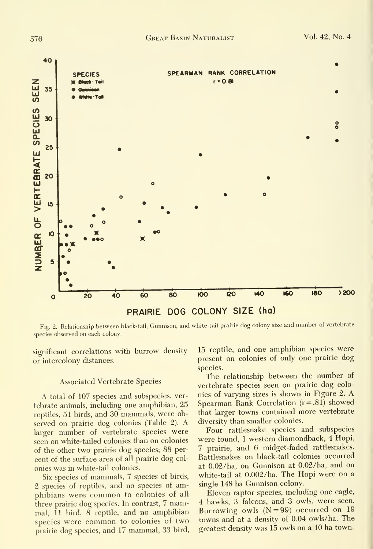

Fig. 2. Relationship between black-tail, Gunnison, and white-tail prairie dog colony size and number of vertebrate species observed on each colony.

significant correlations with burrow density or intercolony distances.

#### **Associated Vertebrate Species**

A total of 107 species and subspecies, vertebrate animals, including one amphibian, 25 reptiles, 51 birds, and 30 mammals, were observed on prairie dog colonies (Table 2). A larger number of vertebrate species were seen on white-tailed colonies than on colonies of the other two prairie dog species; 88 percent of the surface area of all prairie dog colonies was in white-tail colonies.

Six species of mammals, 7 species of birds, 2 species of reptiles, and no species of amphibians were common to colonies of all three prairie dog species. In contrast, 7 mammal, 11 bird, 8 reptile, and no amphibian species were common to colonies of two prairie dog species, and 17 mammal, 33 bird,

15 reptile, and one amphibian species were present on colonies of only one prairie dog species.

The relationship between the number of vertebrate species seen on prairie dog colonies of varying sizes is shown in Figure 2. A Spearman Rank Correlation  $(r=.81)$  showed that larger towns contained more vertebrate diversity than smaller colonies.

Four rattlesnake species and subspecies were found, 1 western diamondback, 4 Hopi, 7 prairie, and 6 midget-faded rattlesnakes. Rattlesnakes on black-tail colonies occurred at 0.02/ha, on Gunnison at 0.02/ha, and on white-tail at 0.002/ha. The Hopi were on a single 148 ha Gunnison colony.

Eleven raptor species, including one eagle, 4 hawks, 3 falcons, and 3 owls, were seen. Burrowing owls  $(N=99)$  occurred on 19 towns and at a density of 0.04 owls/ha. The greatest density was 15 owls on a 10 ha town.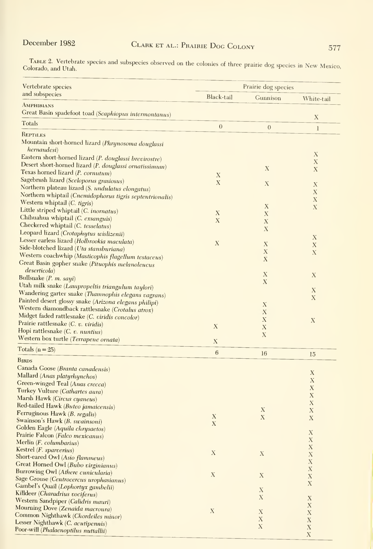TABLE 2. Vertebrate species and subspecies observed on the colonies of three prairie dog species in New Mexico,<br>Colorado, and Utah.

| Vertebrate species                                                                    | Prairie dog species       |                           |                            |
|---------------------------------------------------------------------------------------|---------------------------|---------------------------|----------------------------|
| and subspecies                                                                        | Black-tail                | Gunnison                  | White-tail                 |
| AMPHIBIANS                                                                            |                           |                           |                            |
| Great Basin spadefoot toad (Scaphiopus intermontanus)                                 |                           |                           | $\mathbf X$                |
| Totals                                                                                | $\boldsymbol{0}$          | $\overline{0}$            | $\bf{l}$                   |
| REPTILES                                                                              |                           |                           |                            |
| Mountain short-horned lizard (Phrynosoma douglassi<br><i>hernandesi</i> )             |                           |                           | Х                          |
| Eastern short-horned lizard (P. douglassi brevirostre)                                |                           |                           | $\mathbf X$                |
| Desert short-horned lizard (P. douglassi ornatissimum)                                |                           | $\mathbf X$               | X                          |
| Texas horned lizard (P. cornutum)                                                     | X                         |                           |                            |
| Sagebrush lizard (Sceloporus grasiosus)                                               | $\mathbf X$               | $\mathbf X$               | $\boldsymbol{\mathrm{X}}$  |
| Northern plateau lizard (S. undulatus elongatus)                                      |                           |                           | $\mathbf X$                |
| Northern whiptail (Cnemidophorus tigris septentrionalis)                              |                           |                           | $\mathbf X$                |
| Western whiptail (C. tigris)                                                          |                           | X                         | $\mathbf X$                |
| Little striped whiptail (C. inornatus)                                                | Х                         | $\boldsymbol{\mathrm{X}}$ |                            |
| Chihuahua whiptail (C. exsanguis)                                                     | X                         | X                         |                            |
| Checkered whiptail (C. tesselatus)                                                    |                           | X                         |                            |
| Leopard lizard (Crotaphytus wislizenii)                                               |                           |                           | X                          |
| Lesser earless lizard (Holbrookia maculata)                                           | X                         | X                         | $\boldsymbol{\mathrm{X}}$  |
| Side-blotched lizard (Uta stansburiana)                                               |                           | $\mathbf X$               | $\mathbf X$                |
| Western coachwhip (Masticophis flagellum testaceus)                                   |                           | X                         |                            |
| Great Basin gopher snake (Pituophis melanoleucus                                      |                           |                           |                            |
| <i>deserticola</i> )<br>Bullsnake $(P. m. sayi)$                                      |                           | $\mathbf X$               | X                          |
|                                                                                       |                           | $\mathbf X$               |                            |
| Utah milk snake (Lampropeltis triangulum taylori)                                     |                           |                           | $\mathbf X$                |
| Wandering garter snake (Thamnophis elegans vagrans)                                   |                           |                           | $\mathbf X$                |
| Painted desert glossy snake (Arizona elegans philipi)                                 |                           | X                         |                            |
| Western diamondback rattlesnake (Crotalus atrox)                                      |                           | X                         |                            |
| Midget faded rattlesnake (C. viridis concolor)<br>Prairie rattlesnake (C. v. viridis) |                           | X                         | $\mathbf X$                |
| Hopi rattlesnake (C. v. nuntius)                                                      | $\boldsymbol{\mathrm{X}}$ | X                         |                            |
| Western box turtle (Terrapene ornata)                                                 |                           | X                         |                            |
|                                                                                       | X                         |                           |                            |
| Totals ( $n = 25$ )                                                                   | 6                         | 16                        | 15                         |
| <b>BIRDS</b>                                                                          |                           |                           |                            |
| Canada Goose (Branta canadensis)                                                      |                           |                           | $\mathbf X$                |
| Mallard (Anas platyrhynchos)                                                          |                           |                           | X                          |
| Green-winged Teal (Anas crecca)                                                       |                           |                           | $\mathbf X$                |
| Turkey Vulture (Cathartes aura)                                                       |                           |                           | $\mathbf X$                |
| Marsh Hawk (Circus cyaneus)                                                           |                           |                           | $\mathbf X$                |
| Red-tailed Hawk (Buteo jamaicensis)                                                   |                           | $\mathbf X$               | $\mathbf X$                |
| Ferruginous Hawk (B. regalis)                                                         | $\mathbf X$               | $\mathbf X$               | X                          |
| Swainson's Hawk (B. swainsoni)                                                        | $\mathbf{X}$              |                           |                            |
| Golden Eagle (Aquila chrysaetos)                                                      |                           |                           | $\mathbf X$                |
| Prairie Falcon (Falco mexicanus)                                                      |                           |                           | $\mathbf X$                |
| Merlin (F. columbarius)<br>Kestrel (F. sparverius)                                    |                           |                           | X                          |
| Short-eared Owl (Asio flammeus)                                                       | $\mathbf X$               | $\mathbf X$               | $\mathbf X$                |
| Great Horned Owl (Bubo virginianus)                                                   |                           |                           | $\mathbf X$                |
| Burrowing Owl (Athere cunicularia)                                                    |                           |                           | $\mathbf X$                |
| Sage Grouse (Centrocercus urophasianus)                                               | $\mathbf X$               | $\mathbf X$               | $\mathbf X$                |
| Gambel's Quail (Lophortyx gambelii)                                                   |                           |                           | X                          |
| Killdeer (Charadrius vociferus)                                                       |                           | $\mathbf X$               |                            |
| Western Sandpiper (Calidris mauri)                                                    |                           | X                         | $\mathbf X$                |
| Mourning Dove (Zenaida macroura)                                                      |                           |                           | $\mathbf X$                |
| Common Nighthawk (Chordeiles minor)                                                   | X                         | $\mathbf X$               | $\mathbf X$                |
| Lesser Nighthawk (C. acutipennis)                                                     |                           | $\mathbf X$               | $\mathbf X$                |
| Poor-will (Phalaenoptilus nuttallii)                                                  |                           | $\mathbf X$               | $\mathbf X$<br>$\mathbf X$ |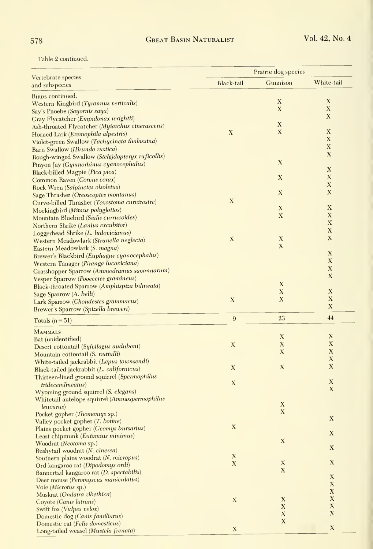Table 2 continued.

|                                                                                         | Prairie dog species       |                           |                           |
|-----------------------------------------------------------------------------------------|---------------------------|---------------------------|---------------------------|
| Vertebrate species<br>and subspecies                                                    | Black-tail                | Gunnison                  | White-tail                |
|                                                                                         |                           |                           |                           |
| <b>BIRDS</b> continued.                                                                 |                           | $\boldsymbol{\mathrm{X}}$ | $\boldsymbol{\mathrm{X}}$ |
| Western Kingbird (Tyrannus verticalis)                                                  |                           | X                         | X                         |
| Say's Phoebe (Sayornis saya)                                                            |                           |                           | $\mathbf X$               |
| Gray Flycatcher (Empidonax wrightii)<br>Ash-throated Flycatcher (Myiarchus cinerascens) |                           | $\mathbf X$               |                           |
| Horned Lark (Eremophila alpestris)                                                      | $\mathbf X$               | $\boldsymbol{\mathrm{X}}$ | $\mathbf X$               |
| Violet-green Swallow (Tachycineta thalassina)                                           |                           |                           | $\boldsymbol{\mathrm{X}}$ |
| Barn Swallow (Hirundo rustica)                                                          |                           |                           | X                         |
| Rough-winged Swallow (Stelgidopteryx ruficollis)                                        |                           |                           | $\boldsymbol{\mathrm{X}}$ |
| Pinyon Jay (Gymnorhinus cyanocephalus)                                                  |                           | $\boldsymbol{\mathrm{X}}$ |                           |
| Black-billed Magpie (Pica pica)                                                         |                           |                           | $\mathbf X$               |
| Common Raven (Corvus corax)                                                             |                           | $\mathbf X$               | X                         |
| Rock Wren (Salpinctes olsoletus)                                                        |                           |                           | $\mathbf X$               |
| Sage Thrasher (Oreoscoptes montanus)                                                    |                           | $\mathbf X$               | $\mathbf X$               |
| Curve-billed Thrasher (Toxostoma curvirostre)                                           | $\mathbf X$               |                           |                           |
| Mockingbird (Mimus polyglottos)                                                         |                           | $\mathbf X$               | X                         |
| Mountain Bluebird (Sialis currucoides)                                                  |                           | X                         | X                         |
| Northern Shrike (Lanius excubitor)                                                      |                           |                           | $\mathbf X$               |
| Loggerhead Shrike (L. ludovicianus)                                                     |                           |                           | $\mathbf X$               |
| Western Meadowlark (Strunella neglecta)                                                 | $\boldsymbol{\mathrm{X}}$ | X                         | $\mathbf X$               |
| Eastern Meadowlark (S. magna)                                                           |                           | $\boldsymbol{\mathrm{X}}$ |                           |
| Brewer's Blackbird (Euphagus cyanocephalus)                                             |                           |                           | X                         |
| Western Tanager (Piranga lucoviciana)                                                   |                           |                           | $\mathbf X$               |
| Grasshopper Sparrow (Ammodramus savannarum)                                             |                           |                           | $\mathbf X$               |
| Vesper Sparrow (Pooecetes gramineus)                                                    |                           |                           | $\mathbf X$               |
| Black-throated Sparrow (Amphispiza bilineata)                                           |                           | X                         |                           |
| Sage Sparrow (A. belli)                                                                 |                           | $\mathbf X$               | $\boldsymbol{\mathrm{X}}$ |
| Lark Sparrow (Chondestes grammacus)                                                     | $\mathbf X$               | X                         | $\mathbf X$               |
| Brewer's Sparrow (Spizella breweri)                                                     |                           |                           | $\mathbf X$               |
| Totals $(n=51)$                                                                         | $\overline{9}$            | 23                        | 44                        |
| <b>MAMMALS</b>                                                                          |                           |                           |                           |
| Bat (unidentified)                                                                      |                           | $\boldsymbol{\mathrm{X}}$ | X                         |
| Desert cottontail (Sylvilagus auduboni)                                                 | $\mathbf X$               | X                         | $\mathbf{X}$              |
| Mountain cottontail (S. nuttalli)                                                       |                           | X                         | X                         |
| White-tailed jackrabbit (Lepus townsendi)                                               |                           |                           | $\mathbf X$               |
| Black-tailed jackrabbit (L. californicus)                                               | $\mathbf X$               | $\mathbf X$               | $\boldsymbol{\mathrm{X}}$ |
| Thirteen-lined ground squirrel (Spermophilus                                            |                           |                           |                           |
| <i>tridecemlineatus</i> )                                                               | $\boldsymbol{\mathrm{X}}$ |                           | $\mathbf X$               |
| Wyoming ground squirrel (S. elegans)                                                    |                           |                           | X                         |
| Whitetail antelope squirrel (Ammospermophilus                                           |                           |                           |                           |
| leucurus)                                                                               |                           | $\mathbf X$               |                           |
| Pocket gopher (Thomomys sp.)                                                            |                           | $\mathbf X$               | X                         |
| Valley pocket gopher (T. bottae)                                                        |                           |                           |                           |
| Plains pocket gopher (Geomys bursarius)                                                 | $\mathbf X$               |                           | X                         |
| Least chipmunk ( <i>Eutamius minimus</i> )                                              |                           | $\mathbf X$               |                           |
| Woodrat (Neotoma sp.)                                                                   |                           |                           | $\mathbf X$               |
| Bushytail woodrat (N. cinerea)                                                          | $\mathbf X$               |                           |                           |
| Southern plains woodrat (N. micropus)<br>Ord kangaroo rat (Dipodomys ordi)              | $\mathbf X$               | $\mathbf X$               | $\mathbf X$               |
| Bannertail kangaroo rat (D. spectabilis)                                                |                           | $\mathbf X$               |                           |
| Deer mouse (Peromyscus maniculatus)                                                     |                           |                           | $\mathbf X$               |
| Vole (Microtus sp.)                                                                     |                           |                           | $\mathbf X$               |
| Muskrat (Ondatra zibethica)                                                             |                           |                           | $\mathbf X$               |
| Coyote (Canis latrans)                                                                  | $\mathbf X$               | X                         | $\mathbf X$               |
| Swift fox ( <i>Vulpes velox</i> )                                                       |                           | X                         | $\mathbf X$               |
| Domestic dog (Canis familiarus)                                                         |                           | X                         | $\mathbf X$               |
| Domestic cat (Felis domesticus)                                                         |                           | $\mathbf X$               |                           |
| Long-tailed weasel (Mustela frenata)                                                    | $\mathbf X$               |                           | $\mathbf X$               |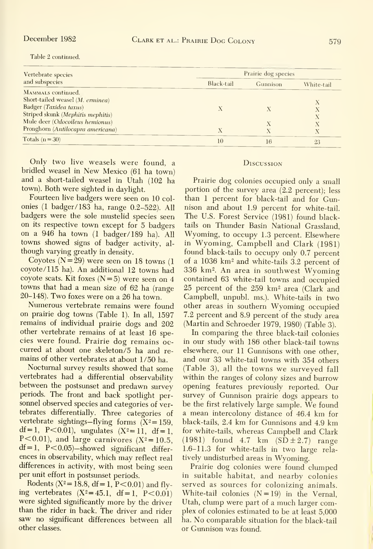| Vertebrate species<br>and subspecies | Prairie dog species |          |            |
|--------------------------------------|---------------------|----------|------------|
|                                      | Black-tail          | Gunnison | White-tail |
| MAMMALS continued.                   |                     |          |            |
| Short-tailed weasel (M. erminea)     |                     |          |            |
| Badger (Taxidea taxus)               |                     |          |            |
| Striped skunk (Mephitis mephitis)    |                     |          |            |
| Mule deer (Odocoileus hemionus)      |                     |          |            |
| Pronghorn (Antilocapra americana)    | Х                   |          |            |
| Totals $(n=30)$                      | 10                  | 16       | 23         |

Table 2 continued.

Only two live weasels were found, a bridled weasel in New Mexico (61 ha town) and a short-tailed weasel in Utah (102 ha town). Both were sighted in daylight.

Fourteen live badgers were seen on 10 colonies (1 badger/183 ha, range 0.2-522). All badgers were the sole mustelid species seen on its respective town except for 5 badgers on a 946 ha town (1 badger/189 ha). All towns showed signs of badger activity, although varying greatly in density.

Coyotes  $(N=29)$  were seen on 18 towns (1) coyote/115 ha). An additional 12 towns had coyote scats. Kit foxes  $(N=5)$  were seen on 4 towns that had a mean size of 62 ha (range 20-148). Two foxes were on a 26 ha town.

Numerous vertebrate remains were found on prairie dog towns (Table 1). In all, 1597 remains of individual prairie dogs and 202 other vertebrate remains of at least 16 species were found. Prairie dog remains occurred at about one skeleton/5 ha and remains of other vertebrates at about 1/50 ha.

Nocturnal survey results showed that some vertebrates had a differential observability between the postsunset and predawn survey periods. The front and back spotlight personnel observed species and categories of vertebrates differentially. Three categories of vertebrate sightings—flying forms  $(X^2 = 159,$ df = 1, P<0.01), ungulates  $(X^2=11, df=1,$ P<0.01), and large carnivores ( $X^2 = 10.5$ ,  $df = 1$ , P<0.05)-showed significant differences in observability, which may reflect real differences in activity, with most being seen per unit effort in postsunset periods.

Rodents ( $X^2 = 18.8$ , df = 1,  $P < 0.01$ ) and flying vertebrates  $(X^2 = 45.1, df = 1, P < 0.01)$ were sighted significantly more by the driver than the rider in back. The driver and rider saw no significant differences between all other classes.

#### DISCUSSION

Prairie dog colonies occupied only a small portion of the survey area  $(2.2$  percent); less than 1 percent for black-tail and for Gunnison and about 1.9 percent for white-tail. The U.S. Forest Service (1981) found blacktails on Thunder Basin National Grassland, Wyoming, to occupy 1.3 percent. Elsewhere in Wyoming, Campbell and Clark (1981) found black-tails to occupy only 0.7 percent of a 1036 km<sup>2</sup> and white-tails 3.2 percent of 336 km<sup>2</sup>. An area in southwest Wyoming contained 63 white-tail towns and occupied 25 percent of the 259 km<sup>2</sup> area (Clark and Campbell, unpubl. ms.). White-tails in two other areas in southern Wyoming occupied 7.2 percent and 8.9 percent of the study area (Martin and Schroeder 1979, 1980) (Table 3).

In comparing the three black-tail colonies in our study with 186 other black-tail towns elsewhere, our 11 Gunnisons with one other, and our 33 white-tail towns with 354 others (Table 3), all the towns we surveyed fall within the ranges of colony sizes and burrow opening features previously reported. Our survey of Gunnison prairie dogs appears to be the first relatively large sample. We found a mean intercolony distance of 46.4 km for black-tails, 2.4 km for Gunnisons and 4.9 km for white-tails, whereas Campbell and Clark  $(1981)$  found 4.7 km  $(SD \pm 2.7)$  range 1.6-11.3 for white-tails in two large relatively undisturbed areas in Wyoming.

Prairie dog colonies were found clumped in suitable habitat, and nearby colonies served as sources for colonizing animals. White-tail colonies  $(N=19)$  in the Vernal, Utah, clump were part of a much larger complex of colonies estimated to be at least 5,000 ha. No comparable situation for the black-tail or Gunnison was found.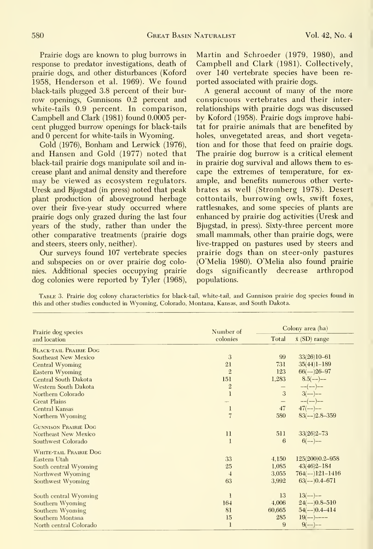Prairie dogs are known to plug burrows in response to predator investigations, death of prairie dogs, and other disturbances (Koford 1958, Henderson et al. 1969). We found black-tails plugged 3.8 percent of their bur row openings, Gunnisons 0.2 percent and white-tails 0.9 percent. In comparison, Campbell and Clark (1981) found 0.0005 per cent plugged burrow openings for black-tails and  $\overline{0}$  percent for white-tails in Wyoming.

Gold (1976), Bonham and Lerwick (1976), and Hansen and Gold (1977) noted that black-tail prairie dogs manipulate soil and in crease plant and animal density and therefore may be viewed as ecosystem regulators. Uresk and Bjugstad (in press) noted that peak plant production of aboveground herbage over their five-year study occurred where prairie dogs only grazed during the last four years of the study, rather than under the other comparative treatments (prairie dogs and steers, steers only, neither).

Our surveys found 107 vertebrate species and subspecies on or over prairie dog colonies. Additional species occupying prairie dog colonies were reported by Tyler (1968),

Martin and Schroeder (1979, 1980), and Campbell and Clark (1981). Collectively, over 140 vertebrate species have been re ported associated with prairie dogs.

A general account of many of the more conspicuous vertebrates and their inter relationships with prairie dogs was discussed by Koford (1958). Prairie dogs improve habitat for prairie animals that are benefited by holes, unvegetated areas, and short vegetation and for those that feed on prairie dogs. The prairie dog burrow is a critical element in prairie dog survival and allows them to es cape the extremes of temperature, for ex ample, and benefits numerous other verte brates as well (Stromberg 1978). Desert cottontails, burrowing owls, swift foxes, rattlesnakes, and some species of plants are enhanced by prairie dog activities (Uresk and Bjugstad, in press). Sixty-three percent more small mammals, other than prairie dogs, were live-trapped on pastures used by steers and prairie dogs than on steer-only pastures (O'Melia 1980). O'Melia also found prairie dogs significantly decrease arthropod populations.

Table 3. Prairie dog colony characteristics for black-tail, white-tail, and Gunnison prairie dog species found in this and other studies conducted in Wyoming, Colorado, Montana, Kansas, and South Dakota.

| Prairie dog species           | Number of      | Colony area (ha)  |                      |
|-------------------------------|----------------|-------------------|----------------------|
| and location                  | colonies       | Total             | $\bar{x}$ (SD) range |
| <b>BLACK-TAIL PRAIRIE DOG</b> |                |                   |                      |
| Southeast New Mexico          | 3              | 99                | $33(26)10-61$        |
| Central Wyoming               | 21             | 731               | $35(44)1 - 189$      |
| <b>Eastern Wyoming</b>        | $\overline{2}$ | 123               | $66(-26-97)$         |
| Central South Dakota          | 151            | 1,283             | $8.5(--)$            |
| Western South Dakota          | $\overline{2}$ |                   | $---(--)---$         |
| Northern Colorado             | $\mathbf{1}$   | 3                 | $3(--)$              |
| <b>Great Plains</b>           |                | $\qquad \qquad -$ | $---(---)---$        |
| Central Kansas                | $\mathbf{l}$   | 47                | $47(--)$             |
| Northern Wyoming              | $\overline{7}$ | 580               | $83(--)2.8-359$      |
| <b>GUNNISON PRAIRIE DOG</b>   |                |                   |                      |
| Northeast New Mexico          | $\mathbf{11}$  | 511               | $33(26)2 - 73$       |
| Southwest Colorado            | 1              | 6                 | $6(--)$              |
| WHITE-TAIL PRAIRIE DOG        |                |                   |                      |
| Eastern Utah                  | 33             | 4.150             | 125(200)0.2-958      |
| South central Wyoming         | 25             | 1,085             | $43(46)2 - 184$      |
| Northwest Wyoming             | $\overline{4}$ | 3,055             | $764(-121-1416)$     |
| Southwest Wyoming             | 63             | 3,992             | $63(-)0.4-671$       |
| South central Wyoming         | 1              | 13                | $13(--)$             |
| Southern Wyoming              | 164            | 4,006             | $24(--)0.8-510$      |
| Southern Wyoming              | 81             | 60,665            | $54(--)0.4-414$      |
| Southern Montana              | 15             | 285               | $19(--)$ ----        |
| North central Colorado        | 1              | $\overline{9}$    | $9(--)$              |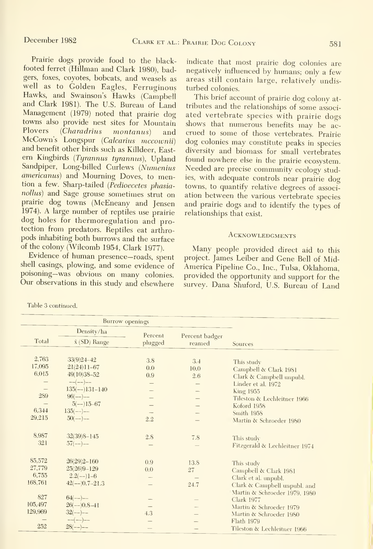Prairie dogs provide food to the blackfooted ferret (Hillman and Clark 1980), badgers, foxes, coyotes, bobcats, and weasels as well as to Golden Eagles, Ferruginous Hawks, and Swainson's Hawks (Campbell and Clark 1981). The U.S. Bureau of Land Management (1979) noted that prairie dog towns also provide nest sites for Mountain<br>Ployers (Charadrius montanus) and  $(Charadrius montanus)$  and McCown's Longspur (Calcarius mccownii)<br>and benefit other birds such as Killdeer, Eastern Kingbirds (Tyrannus tyrannus), Upland Sandpiper, Long-billed Curlews (Numenius americanus) and Mourning Doves, to mention a few. Sharp-tailed (Pedioecetes phasianollns) and Sage grouse sometimes strut on prairie dog towns (McEneany and Jensen 1974). A large number of reptiles use prairie dog holes for thermoregulation and protection from predators. Reptiles eat arthro pods inhabiting both burrows and the surface of the colony (Wilcomb 1954, Clark 1977).

Evidence of human presence—roads, spent shell casings, plowing, and some evidence of poisoning—was obvious on many colonies. Our observations in this study and elsewhere

indicate that most prairie dog colonies are negatively influenced by humans; only a few areas still contain large, relatively undisturbed colonies.

This brief account of prairie dog colony at tributes and the relationships of some associ ated vertebrate species with prairie dogs shows that numerous benefits may be ac crued to some of those vertebrates. Prairie dog colonies may constitute peaks in species diversity and biomass for small vertebrates found nowhere else in the prairie ecosystem. Needed are precise community ecology studies, with adequate controls near prairie dog towns, to quantify relative degrees of associ ation between the various vertebrate species and prairie dogs and to identify the types of relationships that exist.

#### **ACKNOWLEDGMENTS**

Many people provided direct aid to this project. James Leiber and Gene Bell of Mid-America Pipeline Co., Inc., Tulsa, Oklahoma, provided the opportunity and support for the survey. Dana Shuford, U.S. Bureau of Land

| Burrow openings          |                      |         |                |                               |
|--------------------------|----------------------|---------|----------------|-------------------------------|
|                          | Density/ha           | Percent | Percent badger |                               |
| Total                    | $\bar{x}$ (SD) Range | plugged | reamed         | Sources                       |
| 2,763                    |                      |         |                |                               |
| 17,095                   | $33(9)24 - 42$       | 3.8     | 3.4            | This study                    |
|                          | $21(24)11-67$        | 0.0     | 10.0           | Campbell & Clark 1981         |
| 6,015                    | $49(10)38 - 52$      | 0.9     | 2.6            | Clark & Campbell unpubl.      |
|                          | $-(--)$ -            |         |                | Linder et al. 1972            |
| $\qquad \qquad - \qquad$ | $135(--)131-140$     |         |                | <b>King 1955</b>              |
| 289                      | $96(--)$ --          |         |                | Tileston & Lechleitner 1966   |
|                          | $5(--)15-67$         |         |                | Koford 1958                   |
| 6,344                    | $135(--)$ --         |         |                | Smith 1958                    |
| 29,215                   | $50(--)$ --          | 2.2     |                | Martin & Schroeder 1980       |
| 8,987                    | $32(39)8 - 145$      | 2.8     | 7.8            |                               |
| 321                      | $57(--)$ --          | -       |                | This study                    |
|                          |                      |         |                | Fitzgerald & Lechleitner 1974 |
| 85,572                   | $26(29)2 - 160$      | 0.9     | 13.8           | This study                    |
| 27,779                   | $25(26)9 - 129$      | 0.0     | 27             | Campbell & Clark 1981         |
| 6,755                    | $2.2(--)1-6$         |         |                | Clark et al. unpubl.          |
| 168,761                  | $42(--)0.7-21.3$     |         | 24.7           | Clark & Campbell unpubl. and  |
|                          |                      |         |                | Martin & Schroeder 1979, 1980 |
| 827                      | $64$ (--)--          |         |                | Clark 1977                    |
| 105,497                  | $26(--)0.8-11$       |         |                | Martin & Schroeder 1979       |
| 129,969                  | $32(--)$             | 4.3     |                | Martin & Schroeder 1980       |
|                          | $--(--)--$           |         |                | Flath 1979                    |
| 252                      | $28(--)$ --          |         |                | Tileston & Lechleitner 1966   |
|                          |                      |         |                |                               |

Table 3 continued.